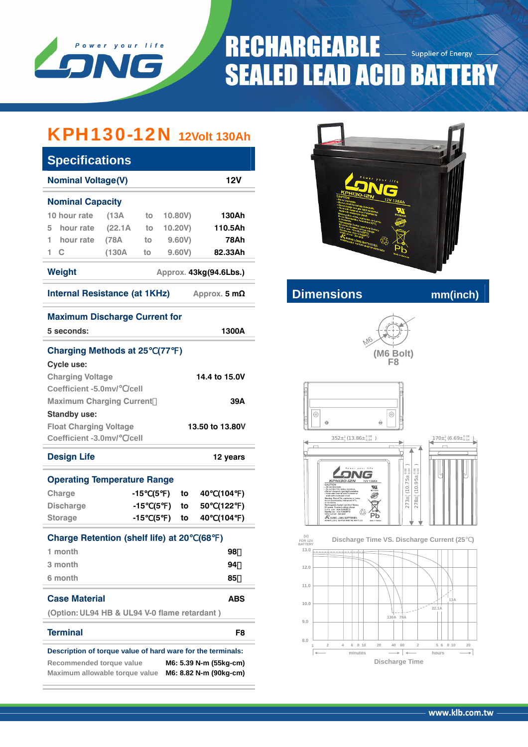

# **RECHARGEABLE Supplier of Energy SEALED LEAD ACID BATTERY**

## KPH130-12N **12Volt 130Ah**

| <b>Specifications</b>                                                                                                                                                         |         |     |                     |               |      |                 |     |  |  |
|-------------------------------------------------------------------------------------------------------------------------------------------------------------------------------|---------|-----|---------------------|---------------|------|-----------------|-----|--|--|
| <b>Nominal Voltage(V)</b><br><b>12V</b>                                                                                                                                       |         |     |                     |               |      |                 |     |  |  |
| <b>Nominal Capacity</b>                                                                                                                                                       |         |     |                     |               |      |                 |     |  |  |
| 10 hour rate                                                                                                                                                                  | (13A)   | to  |                     | 10.80V)       |      | 130Ah           |     |  |  |
| hour rate<br>5                                                                                                                                                                | (22.1A) | to  |                     | 10.20V)       |      | 110.5Ah         |     |  |  |
| hour rate<br>1.                                                                                                                                                               | (78A    | to  |                     | 9.60V)        |      | <b>78Ah</b>     |     |  |  |
| 1.<br>C                                                                                                                                                                       | (130A)  | to  |                     | 9.60V         |      | 82.33Ah         |     |  |  |
| <b>Weight</b><br>Approx. 43kg(94.6Lbs.)                                                                                                                                       |         |     |                     |               |      |                 |     |  |  |
| <b>Internal Resistance (at 1KHz)</b><br>Approx. 5 $mΩ$                                                                                                                        |         |     |                     |               |      |                 |     |  |  |
| <b>Maximum Discharge Current for</b>                                                                                                                                          |         |     |                     |               |      |                 |     |  |  |
| 5 seconds:                                                                                                                                                                    |         |     |                     |               |      | 1300A           |     |  |  |
| <b>Charging Methods at 25</b>                                                                                                                                                 |         |     | (77)                | $\rightarrow$ |      |                 |     |  |  |
| <b>Cycle use:</b>                                                                                                                                                             |         |     |                     |               |      |                 |     |  |  |
| <b>Charging Voltage</b>                                                                                                                                                       |         |     |                     |               |      | 14.4 to 15.0V   |     |  |  |
| Coefficient -5.0mv/ /cell                                                                                                                                                     |         |     |                     |               |      |                 |     |  |  |
| <b>Maximum Charging Current</b>                                                                                                                                               |         |     |                     |               |      |                 | 39A |  |  |
| <b>Standby use:</b>                                                                                                                                                           |         |     |                     |               |      |                 |     |  |  |
| <b>Float Charging Voltage</b>                                                                                                                                                 |         |     |                     |               |      | 13.50 to 13.80V |     |  |  |
| Coefficient -3.0mv/ /cell                                                                                                                                                     |         |     |                     |               |      |                 |     |  |  |
| <b>Design Life</b>                                                                                                                                                            |         |     |                     |               |      | 12 years        |     |  |  |
| <b>Operating Temperature Range</b>                                                                                                                                            |         |     |                     |               |      |                 |     |  |  |
| Charge                                                                                                                                                                        |         | -15 | (5<br>$\mathcal{L}$ | to            | 40   | (104            | )   |  |  |
| <b>Discharge</b>                                                                                                                                                              |         | -15 | (5<br>$\mathcal{L}$ | to            | 50   | (122            | )   |  |  |
| <b>Storage</b>                                                                                                                                                                |         | -15 | (5<br>$\lambda$     | to            | 40   | (104            | )   |  |  |
| <b>Charge Retention (shelf life) at 20</b>                                                                                                                                    |         |     |                     |               | (68) | )               |     |  |  |
| 1 month                                                                                                                                                                       |         |     |                     |               |      | 98              |     |  |  |
| 3 month                                                                                                                                                                       |         |     |                     |               |      | 94              |     |  |  |
| 6 month                                                                                                                                                                       |         |     |                     |               |      | 85              |     |  |  |
| <b>Case Material</b>                                                                                                                                                          |         |     |                     |               |      | ABS             |     |  |  |
| (Option: UL94 HB & UL94 V-0 flame retardant)                                                                                                                                  |         |     |                     |               |      |                 |     |  |  |
| <b>Terminal</b>                                                                                                                                                               |         |     |                     |               |      |                 | F8  |  |  |
| Description of torque value of hard ware for the terminals:<br>Recommended torque value<br>M6: 5.39 N-m (55kg-cm)<br>Maximum allowable torque value<br>M6: 8.82 N-m (90kg-cm) |         |     |                     |               |      |                 |     |  |  |



### **Internal Resistance CONDING MANUS CONDING MANUSCRIPTION**